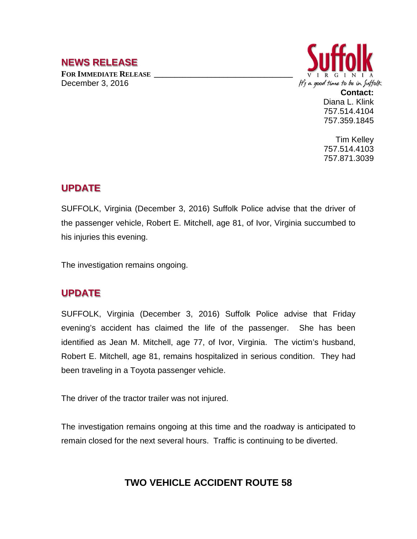## **NEWS RELEASE**

FOR **IMMEDIATE RELEASE** December 3, 2016



**Contact:** Diana L. Klink 757.514.4104 757.359.1845

Tim Kelley 757.514.4103 757.871.3039

## **UPDATE**

SUFFOLK, Virginia (December 3, 2016) Suffolk Police advise that the driver of the passenger vehicle, Robert E. Mitchell, age 81, of Ivor, Virginia succumbed to his injuries this evening.

The investigation remains ongoing.

## **UPDATE**

SUFFOLK, Virginia (December 3, 2016) Suffolk Police advise that Friday evening's accident has claimed the life of the passenger. She has been identified as Jean M. Mitchell, age 77, of Ivor, Virginia. The victim's husband, Robert E. Mitchell, age 81, remains hospitalized in serious condition. They had been traveling in a Toyota passenger vehicle.

The driver of the tractor trailer was not injured.

The investigation remains ongoing at this time and the roadway is anticipated to remain closed for the next several hours. Traffic is continuing to be diverted.

## **TWO VEHICLE ACCIDENT ROUTE 58**